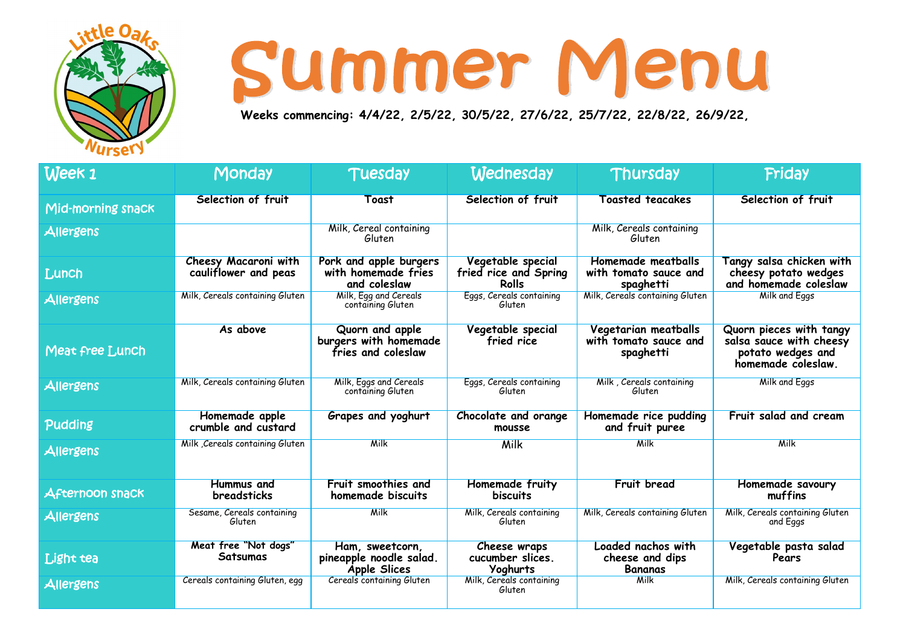

**Weeks commencing: 4/4/22, 2/5/22, 30/5/22, 27/6/22, 25/7/22, 22/8/22, 26/9/22,** 

| Week 1                 | <b>Monday</b>                                | <b>Tuesday</b>                                                    | <b>Wednesday</b>                                           | Thursday                                                          | <b>Friday</b>                                                                                 |
|------------------------|----------------------------------------------|-------------------------------------------------------------------|------------------------------------------------------------|-------------------------------------------------------------------|-----------------------------------------------------------------------------------------------|
| Mid-morning snack      | Selection of fruit                           | <b>Toast</b>                                                      | Selection of fruit                                         | <b>Toasted teacakes</b>                                           | Selection of fruit                                                                            |
| Allergens              |                                              | Milk, Cereal containing<br>Gluten                                 |                                                            | Milk, Cereals containing<br>Gluten                                |                                                                                               |
| Lunch                  | Cheesy Macaroni with<br>cauliflower and peas | Pork and apple burgers<br>with homemade fries<br>and coleslaw     | Vegetable special<br>fried rice and Spring<br><b>Rolls</b> | Homemade meatballs<br>with tomato sauce and<br>spaghetti          | Tangy salsa chicken with<br>cheesy potato wedges<br>and homemade coleslaw                     |
| Allergens              | Milk, Cereals containing Gluten              | Milk, Egg and Cereals<br>containing Gluten                        | Eggs, Cereals containing<br>Gluten                         | Milk, Cereals containing Gluten                                   | <b>Milk and Eggs</b>                                                                          |
| Meat free Lunch        | As above                                     | Quorn and apple<br>burgers with homemade<br>fries and coleslaw    | Vegetable special<br>fried rice                            | <b>Vegetarian meatballs</b><br>with tomato sauce and<br>spaghetti | Quorn pieces with tangy<br>salsa sauce with cheesy<br>potato wedges and<br>homemade coleslaw. |
| Allergens              | Milk, Cereals containing Gluten              | Milk, Eggs and Cereals<br>containing Gluten                       | Eggs, Cereals containing<br>Gluten                         | Milk, Cereals containing<br>Gluten                                | <b>Milk and Eggs</b>                                                                          |
| Pudding                | Homemade apple<br>crumble and custard        | Grapes and yoghurt                                                | Chocolate and orange<br>mousse                             | Homemade rice pudding<br>and fruit puree                          | Fruit salad and cream                                                                         |
| Allergens              | Milk Cereals containing Gluten               | <b>Milk</b>                                                       | <b>Milk</b>                                                | <b>Milk</b>                                                       | <b>Milk</b>                                                                                   |
| <b>Afternoon snack</b> | <b>Hummus and</b><br><b>breadsticks</b>      | Fruit smoothies and<br>homemade biscuits                          | <b>Homemade fruity</b><br><b>biscuits</b>                  | <b>Fruit bread</b>                                                | Homemade savoury<br>muffins                                                                   |
| Allergens              | Sesame, Cereals containing<br>Gluten         | <b>Milk</b>                                                       | Milk, Cereals containing<br>Gluten                         | Milk, Cereals containing Gluten                                   | Milk, Cereals containing Gluten<br>and Eggs                                                   |
| Light tea              | Meat free "Not dogs"<br>Satsumas             | Ham, sweetcorn,<br>pineapple noodle salad.<br><b>Apple Slices</b> | Cheese wraps<br>cucumber slices.<br><b>Yoghurts</b>        | Loaded nachos with<br>cheese and dips<br><b>Bananas</b>           | Vegetable pasta salad<br>Pears                                                                |
| Allergens              | Cereals containing Gluten, egg               | Cereals containing Gluten                                         | Milk, Cereals containing<br>Gluten                         | <b>Milk</b>                                                       | Milk, Cereals containing Gluten                                                               |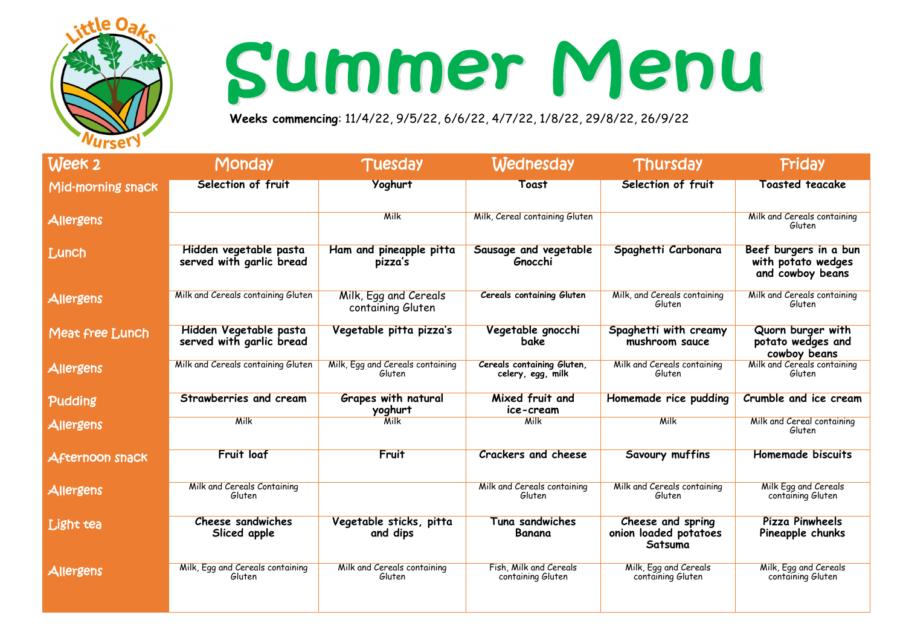

**Weeks commencing**: 11/4/22, 9/5/22, 6/6/22, 4/7/22, 1/8/22, 29/8/22, 26/9/22

| Week 2                 | Monday                                             | Tuesday                                    | <b>Wednesday</b>                                | Thursday                                              | <b>Friday</b>                                                   |
|------------------------|----------------------------------------------------|--------------------------------------------|-------------------------------------------------|-------------------------------------------------------|-----------------------------------------------------------------|
| Mid-morning snack      | Selection of fruit                                 | Yoghurt                                    | Toast                                           | Selection of fruit                                    | <b>Toasted teacake</b>                                          |
| Allergens              |                                                    | <b>Milk</b>                                | Milk, Cereal containing Gluten                  |                                                       | Milk and Cereals containing<br>Gluten                           |
| Lunch                  | Hidden vegetable pasta<br>served with garlic bread | Ham and pineapple pitta<br>pizza's         | Sausage and vegetable<br>Gnocchi                | Spaghetti Carbonara                                   | Beef burgers in a bun<br>with potato wedges<br>and cowboy beans |
| Allergens              | Milk and Cereals containing Gluten                 | Milk, Egg and Cereals<br>containing Gluten | <b>Cereals containing Gluten</b>                | Milk, and Cereals containing<br>Gluten                | Milk and Cereals containing<br>Gluten                           |
| Meat free Lunch        | Hidden Vegetable pasta<br>served with garlic bread | Vegetable pitta pizza's                    | Vegetable gnocchi<br>bake                       | Spaghetti with creamy<br>mushroom sauce               | Quorn burger with<br>potato wedges and<br>cowboy beans          |
| Allergens              | Milk and Cereals containing Gluten                 | Milk, Egg and Cereals containing<br>Gluten | Cereals containing Gluten,<br>celery, egg, milk | Milk and Cereals containing<br>Gluten                 | Milk and Cereals containing<br>Gluten                           |
| Pudding                | Strawberries and cream                             | <b>Grapes with natural</b><br>yoghurt      | Mixed fruit and<br>ice-cream                    | Homemade rice pudding                                 | Crumble and ice cream                                           |
| Allergens              | Milk                                               | Milk                                       | Milk                                            | Milk                                                  | Milk and Cereal containing<br>Gluten                            |
| <b>Afternoon snack</b> | <b>Fruit loaf</b>                                  | Fruit                                      | <b>Crackers and cheese</b>                      | <b>Savoury muffins</b>                                | <b>Homemade biscuits</b>                                        |
| Allergens              | <b>Milk and Cereals Containing</b><br>Gluten       |                                            | Milk and Cereals containing<br>Gluten           | Milk and Cereals containing<br>Gluten                 | Milk Egg and Cereals<br>containing Gluten                       |
| Light tea              | <b>Cheese sandwiches</b><br>Sliced apple           | Vegetable sticks, pitta<br>and dips        | Tuna sandwiches<br>Banana                       | Cheese and spring<br>onion loaded potatoes<br>Satsuma | <b>Pizza Pinwheels</b><br>Pineapple chunks                      |
| Allergens              | Milk, Egg and Cereals containing<br>Gluten         | Milk and Cereals containing<br>Gluten      | Fish, Milk and Cereals<br>containing Gluten     | Milk, Egg and Cereals<br>containing Gluten            | Milk, Egg and Cereals<br>containing Gluten                      |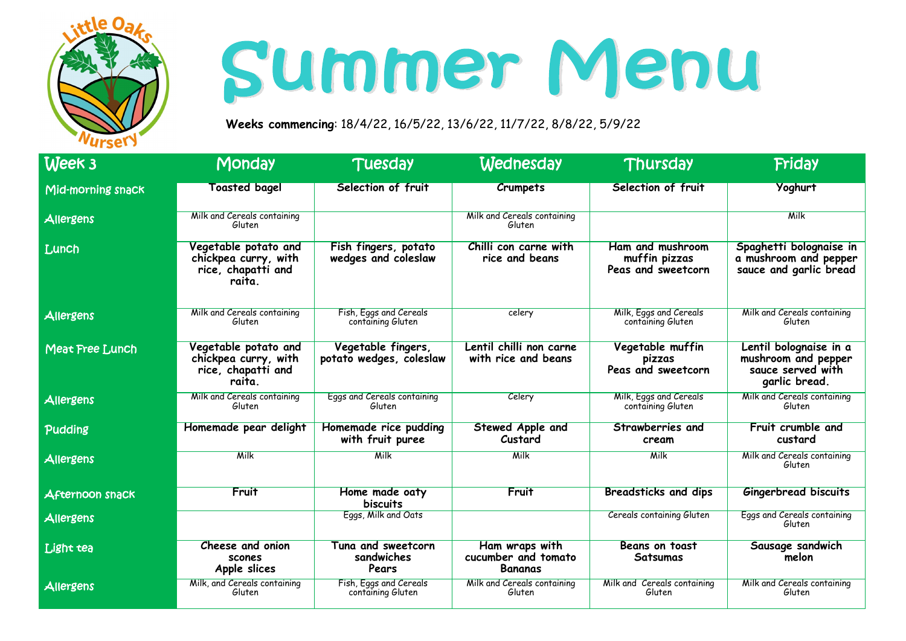

**Weeks commencing**: 18/4/22, 16/5/22, 13/6/22, 11/7/22, 8/8/22, 5/9/22

| Week 3                 | <b>Monday</b>                                                                | <b>Tuesday</b>                                | <b>Wednesday</b>                                        | Thursday                                                | <b>Friday</b>                                                                       |
|------------------------|------------------------------------------------------------------------------|-----------------------------------------------|---------------------------------------------------------|---------------------------------------------------------|-------------------------------------------------------------------------------------|
| Mid-morning snack      | <b>Toasted bagel</b>                                                         | Selection of fruit                            | Crumpets                                                | Selection of fruit                                      | Yoghurt                                                                             |
| Allergens              | Milk and Cereals containing<br>Gluten                                        |                                               | Milk and Cereals containing<br>Gluten                   |                                                         | <b>Milk</b>                                                                         |
| Lunch                  | Vegetable potato and<br>chickpea curry, with<br>rice, chapatti and<br>raita. | Fish fingers, potato<br>wedges and coleslaw   | Chilli con carne with<br>rice and beans                 | Ham and mushroom<br>muffin pizzas<br>Peas and sweetcorn | Spaghetti bolognaise in<br>a mushroom and pepper<br>sauce and garlic bread          |
| Allergens              | Milk and Cereals containing<br>Gluten                                        | Fish, Eggs and Cereals<br>containing Gluten   | celery                                                  | Milk, Eggs and Cereals<br>containing Gluten             | Milk and Cereals containing<br>Gluten                                               |
| Meat Free Lunch        | Vegetable potato and<br>chickpea curry, with<br>rice, chapatti and<br>raita. | Vegetable fingers,<br>potato wedges, coleslaw | Lentil chilli non carne<br>with rice and beans          | Vegetable muffin<br>pizzas<br>Peas and sweetcorn        | Lentil bolognaise in a<br>mushroom and pepper<br>sauce served with<br>garlic bread. |
| Allergens              | Milk and Cereals containing<br>Gluten                                        | Eggs and Cereals containing<br>Gluten         | Celery                                                  | Milk, Eggs and Cereals<br>containing Gluten             | Milk and Cereals containing<br>Gluten                                               |
| Pudding                | Homemade pear delight                                                        | Homemade rice pudding<br>with fruit puree     | <b>Stewed Apple and</b><br>Custard                      | Strawberries and<br>cream                               | Fruit crumble and<br>custard                                                        |
| Allergens              | <b>Milk</b>                                                                  | <b>Milk</b>                                   | <b>Milk</b>                                             | <b>Milk</b>                                             | Milk and Cereals containing<br>Gluten                                               |
| <b>Afternoon snack</b> | Fruit                                                                        | Home made oaty<br><b>biscuits</b>             | Fruit                                                   | <b>Breadsticks and dips</b>                             | <b>Gingerbread biscuits</b>                                                         |
| <b>Allergens</b>       |                                                                              | Eggs, Milk and Oats                           |                                                         | <b>Cereals containing Gluten</b>                        | Eggs and Cereals containing<br>Gluten                                               |
| Light tea              | Cheese and onion<br>scones<br>Apple slices                                   | Tuna and sweetcorn<br>sandwiches<br>Pears     | Ham wraps with<br>cucumber and tomato<br><b>Bananas</b> | <b>Beans on toast</b><br><b>Satsumas</b>                | Sausage sandwich<br>melon                                                           |
| Allergens              | Milk, and Cereals containing<br>Gluten                                       | Fish, Eggs and Cereals<br>containing Gluten   | Milk and Cereals containing<br>Gluten                   | Milk and Cereals containing<br>Gluten                   | Milk and Cereals containing<br>Gluten                                               |